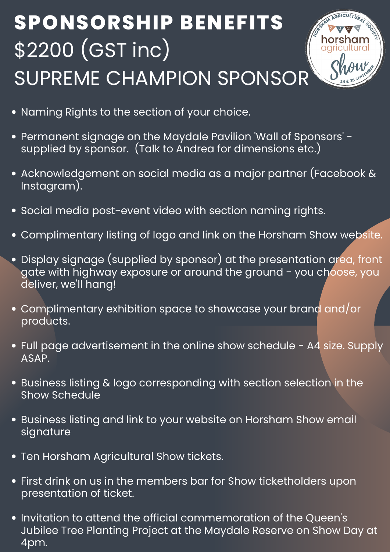- Naming Rights to the section of your choice.
- Permanent signage on the Maydale Pavilion 'Wall of Sponsors ' supplied by sponsor. (Talk to Andrea for dimensions etc.)
- Acknowledgement on social media as a major partner (Facebook & Instagram).
- Social media post-event video with section naming rights.
- Complimentary listing of logo and link on the Horsham Show website.
- Display signage (supplied by sponsor) at the presentation area, front gate with highway exposure or around the ground - you choose, you deliver, we 'll hang!
- Complimentary exhibition space to showcase your brand and/or products.
- Full page advertisement in the online show schedule A4 size. Supply ASAP.
- Business listing & logo corresponding with section selection in the Show Schedule
- Business listing and link to your website on Horsham Show email signature
- **Ten Horsham Agricultural Show tickets.**
- First drink on us in the members bar for Show ticketholders upon presentation of ticket.
- Invitation to attend the official commemoration of the Queen 's Jubilee Tree Planting Project at the Maydale Reserve on Show Day at 4pm.

## **SPONSORSHIP BENEFITS** \$2200 (GST inc) SUPREME CHAMPION SPONSOR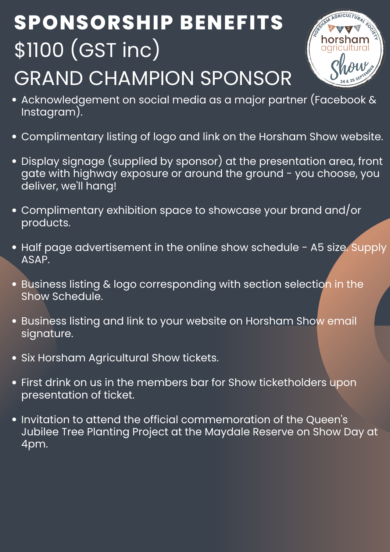- Acknowledgement on social media as a major partner (Facebook & Instagram).
- Complimentary listing of logo and link on the Horsham Show website.
- . Display signage (supplied by sponsor) at the presentation area, front gate with highway exposure or around the ground - you choose, you deliver, we 'll hang!
- Complimentary exhibition space to showcase your brand and/or products.
- Half page advertisement in the online show schedule A5 size. Supply ASAP.
- Business listing & logo corresponding with section selection in the

- Business listing and link to your website on Horsham Show email signature.
- Six Horsham Agricultural Show tickets.
- First drink on us in the members bar for Show ticketholders upon presentation of ticket.
- Invitation to attend the official commemoration of the Queen 's Jubilee Tree Planting Project at the Maydale Reserve on Show Day at 4pm.

#### Show Schedule.

# **SPONSORSHIP BENEFITS** \$1100 (GST inc) GRAND CHAMPION SPONSOR

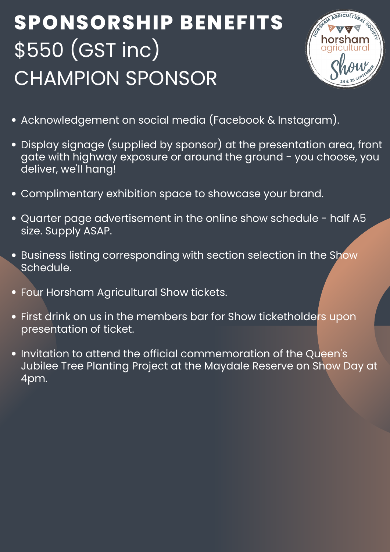- Acknowledgement on social media (Facebook & Instagram).
- . Display signage (supplied by sponsor) at the presentation area, front gate with highway exposure or around the ground - you choose, you deliver, we 'll hang!
- Complimentary exhibition space to showcase your brand.
- Quarter page advertisement in the online show schedule half A5 size. Supply ASAP.
- Business listing corresponding with section selection in the Show Schedule.
- Four Horsham Agricultural Show tickets.
	-
- First drink on us in the members bar for Show ticketholders upon presentation of ticket.
- Invitation to attend the official commemoration of the Queen 's Jubilee Tree Planting Project at the Maydale Reserve on Show Day at 4pm.

## **SPONSORSHIP BENEFITS** \$550 (GST inc) CHAMPION SPONSOR

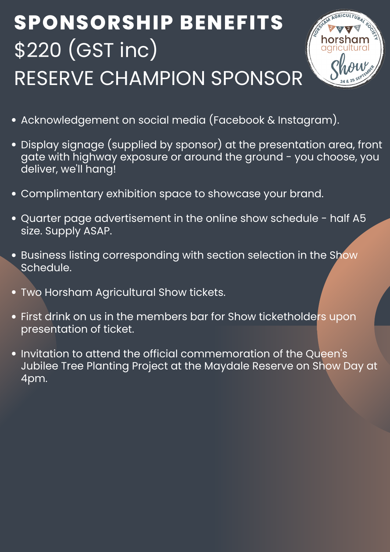

- . Display signage (supplied by sponsor) at the presentation area, front gate with highway exposure or around the ground - you choose, you deliver, we 'll hang!
- Complimentary exhibition space to showcase your brand.
- Quarter page advertisement in the online show schedule half A5 size. Supply ASAP.
- Business listing corresponding with section selection in the Show  $\bullet$ Schedule.
- Two Horsham Agricultural Show tickets.
	-
- First drink on us in the members bar for Show ticketholders upon presentation of ticket.
- Invitation to attend the official commemoration of the Queen 's Jubilee Tree Planting Project at the Maydale Reserve on Show Day at 4pm.

# **SPONSORSHIP BENEFITS** \$220 (GST inc) RESERVE CHAMPION SPONSOR